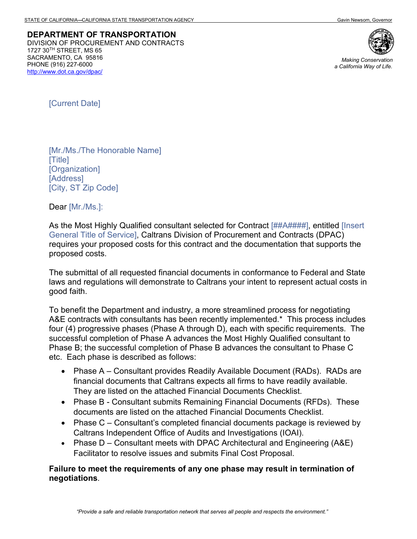**DEPARTMENT OF TRANSPORTATION** DIVISION OF PROCUREMENT AND CONTRACTS 1727 30TH STREET, MS 65 SACRAMENTO, CA 95816 PHONE (916) 227-6000 *Making Conservation*  <http://www.dot.ca.gov/dpac/>



*a California Way of Life.*

[Current Date]

[Mr./Ms./The Honorable Name] [Title] [Organization] [Address] [City, ST Zip Code]

Dear [Mr./Ms.]:

As the Most Highly Qualified consultant selected for Contract [##A####], entitled [Insert] General Title of Service], Caltrans Division of Procurement and Contracts (DPAC) requires your proposed costs for this contract and the documentation that supports the proposed costs.

The submittal of all requested financial documents in conformance to Federal and State laws and regulations will demonstrate to Caltrans your intent to represent actual costs in good faith.

To benefit the Department and industry, a more streamlined process for negotiating A&E contracts with consultants has been recently implemented.\* This process includes four (4) progressive phases (Phase A through D), each with specific requirements. The successful completion of Phase A advances the Most Highly Qualified consultant to Phase B; the successful completion of Phase B advances the consultant to Phase C etc. Each phase is described as follows:

- Phase A Consultant provides Readily Available Document (RADs). RADs are financial documents that Caltrans expects all firms to have readily available. They are listed on the attached Financial Documents Checklist.
- Phase B Consultant submits Remaining Financial Documents (RFDs). These documents are listed on the attached Financial Documents Checklist.
- Phase C Consultant's completed financial documents package is reviewed by Caltrans Independent Office of Audits and Investigations (IOAI).
- Phase D Consultant meets with DPAC Architectural and Engineering (A&E) Facilitator to resolve issues and submits Final Cost Proposal.

## **Failure to meet the requirements of any one phase may result in termination of negotiations***.*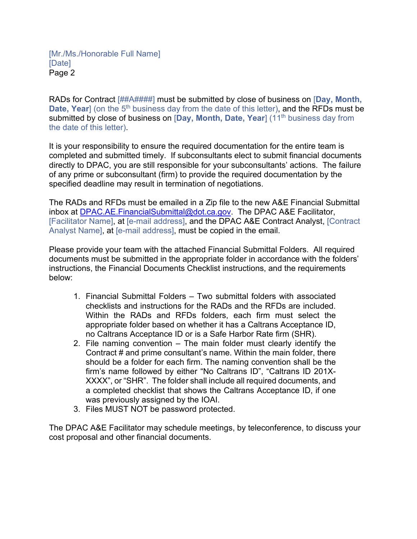RADs for Contract [##A####] must be submitted by close of business on [**Day, Month, Date, Year**] (on the 5<sup>th</sup> business day from the date of this letter), and the RFDs must be submitted by close of business on [Day, Month, Date, Year] (11<sup>th</sup> business day from the date of this letter).

It is your responsibility to ensure the required documentation for the entire team is completed and submitted timely. If subconsultants elect to submit financial documents directly to DPAC, you are still responsible for your subconsultants' actions. The failure of any prime or subconsultant (firm) to provide the required documentation by the specified deadline may result in termination of negotiations.

The RADs and RFDs must be emailed in a Zip file to the new A&E Financial Submittal inbox at **DPAC.AE.FinancialSubmittal@dot.ca.gov.** The DPAC A&E Facilitator, [Facilitator Name], at [e-mail address], and the DPAC A&E Contract Analyst, [Contract Analyst Name], at [e-mail address], must be copied in the email.

Please provide your team with the attached Financial Submittal Folders. All required documents must be submitted in the appropriate folder in accordance with the folders' instructions, the Financial Documents Checklist instructions, and the requirements below:

- 1. Financial Submittal Folders Two submittal folders with associated checklists and instructions for the RADs and the RFDs are included. Within the RADs and RFDs folders, each firm must select the appropriate folder based on whether it has a Caltrans Acceptance ID, no Caltrans Acceptance ID or is a Safe Harbor Rate firm (SHR).
- 2. File naming convention The main folder must clearly identify the Contract # and prime consultant's name. Within the main folder, there should be a folder for each firm. The naming convention shall be the firm's name followed by either "No Caltrans ID", "Caltrans ID 201X-XXXX", or "SHR". The folder shall include all required documents, and a completed checklist that shows the Caltrans Acceptance ID, if one was previously assigned by the IOAI.
- 3. Files MUST NOT be password protected.

The DPAC A&E Facilitator may schedule meetings, by teleconference, to discuss your cost proposal and other financial documents.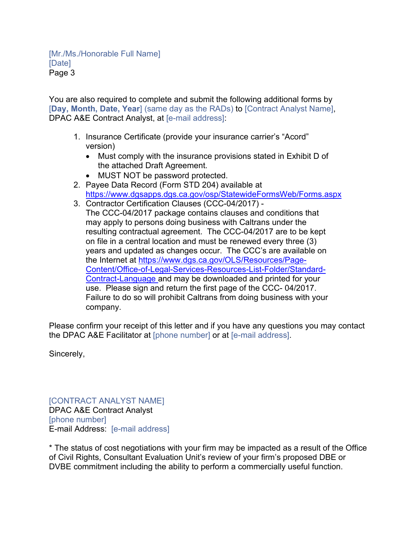You are also required to complete and submit the following additional forms by [**Day, Month, Date, Year**] (same day as the RADs) to [Contract Analyst Name], DPAC A&E Contract Analyst, at [e-mail address]:

- 1. Insurance Certificate (provide your insurance carrier's "Acord" version)
	- Must comply with the insurance provisions stated in Exhibit D of the attached Draft Agreement.
	- MUST NOT be password protected.
- 2. Payee Data Record (Form STD 204) available at <https://www.dgsapps.dgs.ca.gov/osp/StatewideFormsWeb/Forms.aspx>
- 3. Contractor Certification Clauses (CCC-04/2017) The CCC-04/2017 package contains clauses and conditions that may apply to persons doing business with Caltrans under the resulting contractual agreement. The CCC-04/2017 are to be kept on file in a central location and must be renewed every three (3) years and updated as changes occur. The CCC's are available on the Internet at [https://www.dgs.ca.gov/OLS/Resources/Page-](https://www.dgs.ca.gov/OLS/Resources/Page-Content/Office-of-Legal-Services-Resources-List-Folder/Standard-Contract-Language)[Content/Office-of-Legal-Services-Resources-List-Folder/Standard-](https://www.dgs.ca.gov/OLS/Resources/Page-Content/Office-of-Legal-Services-Resources-List-Folder/Standard-Contract-Language)[Contract-Language](https://www.dgs.ca.gov/OLS/Resources/Page-Content/Office-of-Legal-Services-Resources-List-Folder/Standard-Contract-Language) and may be downloaded and printed for your use. Please sign and return the first page of the CCC- 04/2017. Failure to do so will prohibit Caltrans from doing business with your company.

Please confirm your receipt of this letter and if you have any questions you may contact the DPAC A&E Facilitator at [phone number] or at [e-mail address].

Sincerely,

[CONTRACT ANALYST NAME] DPAC A&E Contract Analyst [phone number] E-mail Address: [e-mail address]

\* The status of cost negotiations with your firm may be impacted as a result of the Office of Civil Rights, Consultant Evaluation Unit's review of your firm's proposed DBE or DVBE commitment including the ability to perform a commercially useful function.